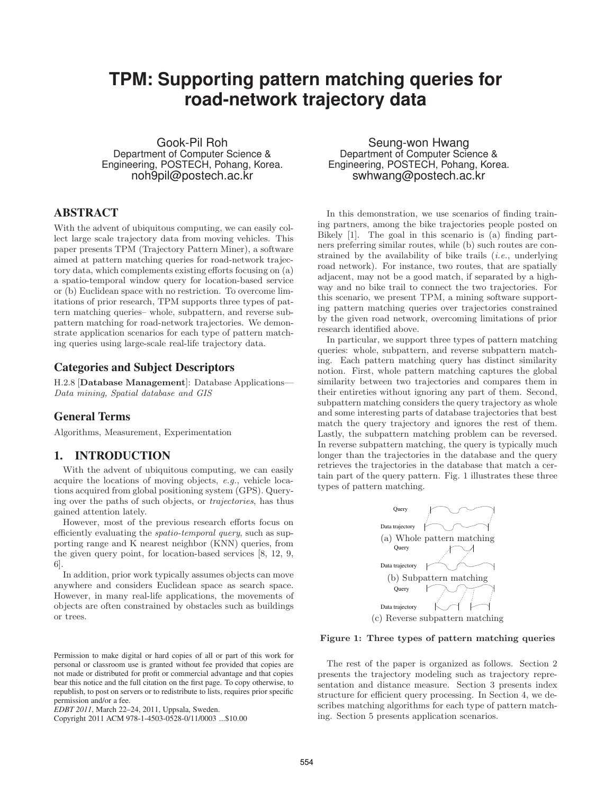# **TPM: Supporting pattern matching queries for road-network trajectory data**

Gook-Pil Roh Department of Computer Science & Engineering, POSTECH, Pohang, Korea. noh9pil@postech.ac.kr

# **ABSTRACT**

With the advent of ubiquitous computing, we can easily collect large scale trajectory data from moving vehicles. This paper presents TPM (Trajectory Pattern Miner), a software aimed at pattern matching queries for road-network trajectory data, which complements existing efforts focusing on (a) a spatio-temporal window query for location-based service or (b) Euclidean space with no restriction. To overcome limitations of prior research, TPM supports three types of pattern matching queries– whole, subpattern, and reverse subpattern matching for road-network trajectories. We demonstrate application scenarios for each type of pattern matching queries using large-scale real-life trajectory data.

## **Categories and Subject Descriptors**

H.2.8 [Database Management]: Database Applications— *Data mining, Spatial database and GIS*

## **General Terms**

Algorithms, Measurement, Experimentation

## **1. INTRODUCTION**

With the advent of ubiquitous computing, we can easily acquire the locations of moving objects, *e.g.*, vehicle locations acquired from global positioning system (GPS). Querying over the paths of such objects, or *trajectories*, has thus gained attention lately.

However, most of the previous research efforts focus on efficiently evaluating the *spatio-temporal query*, such as supporting range and K nearest neighbor (KNN) queries, from the given query point, for location-based services [8, 12, 9, 6].

In addition, prior work typically assumes objects can move anywhere and considers Euclidean space as search space. However, in many real-life applications, the movements of objects are often constrained by obstacles such as buildings or trees.

Copyright 2011 ACM 978-1-4503-0528-0/11/0003 ...\$10.00

Seung-won Hwang Department of Computer Science & Engineering, POSTECH, Pohang, Korea. swhwang@postech.ac.kr

In this demonstration, we use scenarios of finding training partners, among the bike trajectories people posted on Bikely [1]. The goal in this scenario is (a) finding partners preferring similar routes, while (b) such routes are constrained by the availability of bike trails (*i.e.*, underlying road network). For instance, two routes, that are spatially adjacent, may not be a good match, if separated by a highway and no bike trail to connect the two trajectories. For this scenario, we present TPM, a mining software supporting pattern matching queries over trajectories constrained by the given road network, overcoming limitations of prior research identified above.

In particular, we support three types of pattern matching queries: whole, subpattern, and reverse subpattern matching. Each pattern matching query has distinct similarity notion. First, whole pattern matching captures the global similarity between two trajectories and compares them in their entireties without ignoring any part of them. Second, subpattern matching considers the query trajectory as whole and some interesting parts of database trajectories that best match the query trajectory and ignores the rest of them. Lastly, the subpattern matching problem can be reversed. In reverse subpattern matching, the query is typically much longer than the trajectories in the database and the query retrieves the trajectories in the database that match a certain part of the query pattern. Fig. 1 illustrates these three types of pattern matching.



#### Figure 1: Three types of pattern matching queries

The rest of the paper is organized as follows. Section 2 presents the trajectory modeling such as trajectory representation and distance measure. Section 3 presents index structure for efficient query processing. In Section 4, we describes matching algorithms for each type of pattern matching. Section 5 presents application scenarios.

Permission to make digital or hard copies of all or part of this work for personal or classroom use is granted without fee provided that copies are not made or distributed for profit or commercial advantage and that copies bear this notice and the full citation on the first page. To copy otherwise, to republish, to post on servers or to redistribute to lists, requires prior specific permission and/or a fee.

*EDBT 2011*, March 22–24, 2011, Uppsala, Sweden.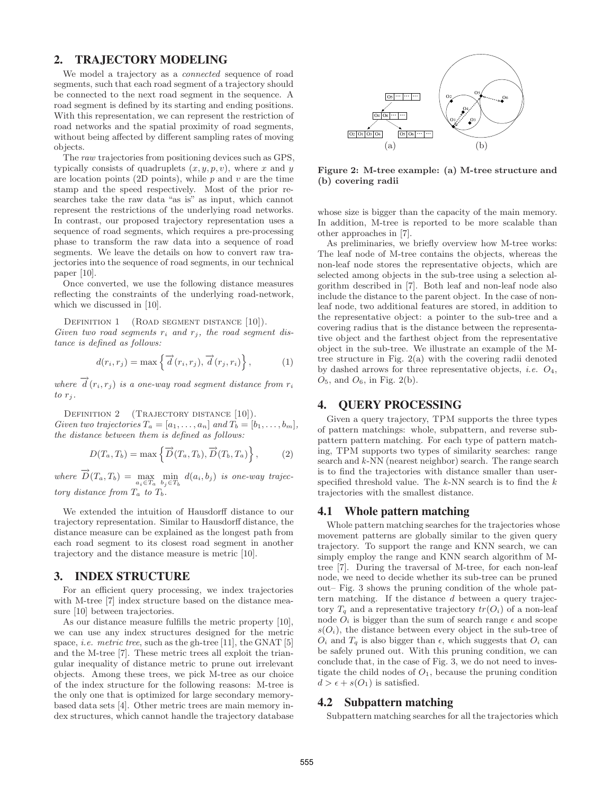## **2. TRAJECTORY MODELING**

We model a trajectory as a *connected* sequence of road segments, such that each road segment of a trajectory should be connected to the next road segment in the sequence. A road segment is defined by its starting and ending positions. With this representation, we can represent the restriction of road networks and the spatial proximity of road segments, without being affected by different sampling rates of moving objects.

The *raw* trajectories from positioning devices such as GPS, typically consists of quadruplets  $(x, y, p, v)$ , where x and y are location points (2D points), while  $p$  and  $v$  are the time stamp and the speed respectively. Most of the prior researches take the raw data "as is" as input, which cannot represent the restrictions of the underlying road networks. In contrast, our proposed trajectory representation uses a sequence of road segments, which requires a pre-processing phase to transform the raw data into a sequence of road segments. We leave the details on how to convert raw trajectories into the sequence of road segments, in our technical paper [10].

Once converted, we use the following distance measures reflecting the constraints of the underlying road-network, which we discussed in [10].

DEFINITION 1 (ROAD SEGMENT DISTANCE [10]). *Given two road segments*  $r_i$  *and*  $r_j$ *, the road segment distance is defined as follows:*

$$
d(r_i, r_j) = \max\left\{\overrightarrow{d}(r_i, r_j), \overrightarrow{d}(r_j, r_i)\right\},\tag{1}
$$

 $\overrightarrow{d}(r_i,r_j)$  *is a one-way road segment distance from*  $r_i$  $to$   $r_j$ .

DEFINITION 2 (TRAJECTORY DISTANCE [10]). *Given two trajectories*  $T_a = [a_1, \ldots, a_n]$  *and*  $T_b = [b_1, \ldots, b_m]$ *, the distance between them is defined as follows:*

$$
D(T_a, T_b) = \max\left\{\overrightarrow{D}(T_a, T_b), \overrightarrow{D}(T_b, T_a)\right\},\tag{2}
$$

 $where \ \vec{D}(T_a, T_b) = \max_{a_i \in T_a} \min_{b_j \in T_b} d(a_i, b_j)$  *is one-way trajectory distance from*  $T_a$  *to*  $T_b$ *.* 

We extended the intuition of Hausdorff distance to our trajectory representation. Similar to Hausdorff distance, the distance measure can be explained as the longest path from each road segment to its closest road segment in another trajectory and the distance measure is metric [10].

#### **3. INDEX STRUCTURE**

For an efficient query processing, we index trajectories with M-tree [7] index structure based on the distance measure [10] between trajectories.

As our distance measure fulfills the metric property [10], we can use any index structures designed for the metric space, *i.e. metric tree*, such as the gh-tree [11], the GNAT [5] and the M-tree [7]. These metric trees all exploit the triangular inequality of distance metric to prune out irrelevant objects. Among these trees, we pick M-tree as our choice of the index structure for the following reasons: M-tree is the only one that is optimized for large secondary memorybased data sets [4]. Other metric trees are main memory index structures, which cannot handle the trajectory database



Figure 2: M-tree example: (a) M-tree structure and (b) covering radii

whose size is bigger than the capacity of the main memory. In addition, M-tree is reported to be more scalable than other approaches in [7].

As preliminaries, we briefly overview how M-tree works: The leaf node of M-tree contains the objects, whereas the non-leaf node stores the representative objects, which are selected among objects in the sub-tree using a selection algorithm described in [7]. Both leaf and non-leaf node also include the distance to the parent object. In the case of nonleaf node, two additional features are stored, in addition to the representative object: a pointer to the sub-tree and a covering radius that is the distance between the representative object and the farthest object from the representative object in the sub-tree. We illustrate an example of the Mtree structure in Fig. 2(a) with the covering radii denoted by dashed arrows for three representative objects, *i.e.* O4,  $O_5$ , and  $O_6$ , in Fig. 2(b).

## **4. QUERY PROCESSING**

Given a query trajectory, TPM supports the three types of pattern matchings: whole, subpattern, and reverse subpattern pattern matching. For each type of pattern matching, TPM supports two types of similarity searches: range search and *k*-NN (nearest neighbor) search. The range search is to find the trajectories with distance smaller than userspecified threshold value. The *k*-NN search is to find the k trajectories with the smallest distance.

### **4.1 Whole pattern matching**

Whole pattern matching searches for the trajectories whose movement patterns are globally similar to the given query trajectory. To support the range and KNN search, we can simply employ the range and KNN search algorithm of Mtree [7]. During the traversal of M-tree, for each non-leaf node, we need to decide whether its sub-tree can be pruned out– Fig. 3 shows the pruning condition of the whole pattern matching. If the distance d between a query trajectory  $T<sub>q</sub>$  and a representative trajectory  $tr(O<sub>i</sub>)$  of a non-leaf node  $O_i$  is bigger than the sum of search range  $\epsilon$  and scope  $s(O_i)$ , the distance between every object in the sub-tree of  $O_i$  and  $T_q$  is also bigger than  $\epsilon$ , which suggests that  $O_i$  can be safely pruned out. With this pruning condition, we can conclude that, in the case of Fig. 3, we do not need to investigate the child nodes of  $O<sub>1</sub>$ , because the pruning condition  $d > \epsilon + s(O_1)$  is satisfied.

#### **4.2 Subpattern matching**

Subpattern matching searches for all the trajectories which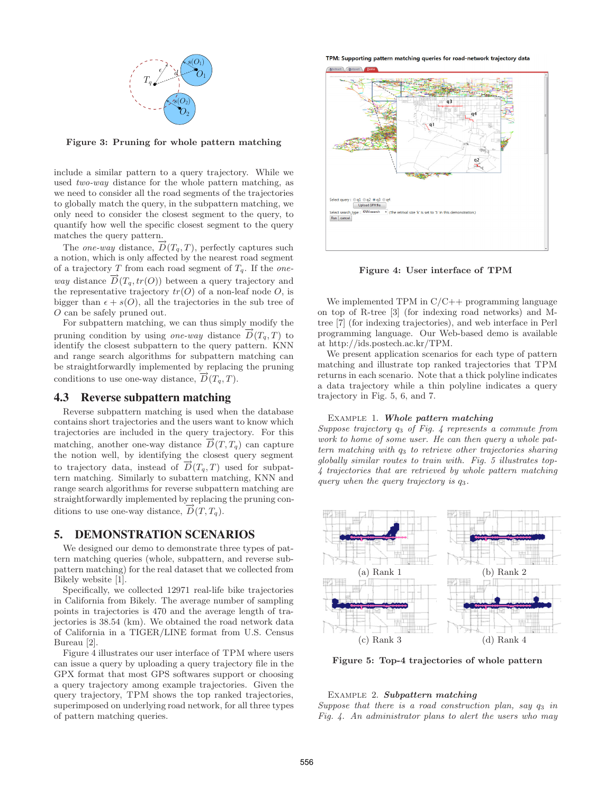

Figure 3: Pruning for whole pattern matching

include a similar pattern to a query trajectory. While we used *two-way* distance for the whole pattern matching, as we need to consider all the road segments of the trajectories to globally match the query, in the subpattern matching, we only need to consider the closest segment to the query, to quantify how well the specific closest segment to the query matches the query pattern.

The *one-way* distance,  $\overrightarrow{D}(T_q, T)$ , perfectly captures such a notion, which is only affected by the nearest road segment of a trajectory T from each road segment of Tq. If the *oneway* distance  $\overrightarrow{D}(T_q, tr(O))$  between a query trajectory and the representative trajectory  $tr(O)$  of a non-leaf node  $O$ , is bigger than  $\epsilon + s(0)$ , all the trajectories in the sub tree of O can be safely pruned out.

For subpattern matching, we can thus simply modify the pruning condition by using *one-way* distance  $\overline{D}(T_q, T)$  to identify the closest subpattern to the query pattern. KNN and range search algorithms for subpattern matching can be straightforwardly implemented by replacing the pruning conditions to use one-way distance,  $\overrightarrow{D}(T_q, T)$ .

## **4.3 Reverse subpattern matching**

Reverse subpattern matching is used when the database contains short trajectories and the users want to know which trajectories are included in the query trajectory. For this matching, another one-way distance  $D(T, T_q)$  can capture the notion well, by identifying the closest query segment to trajectory data, instead of  $D(T_q, T)$  used for subpattern matching. Similarly to subattern matching, KNN and range search algorithms for reverse subpattern matching are straightforwardly implemented by replacing the pruning conditions to use one-way distance,  $\overrightarrow{D}(T, T_a)$ .

#### **5. DEMONSTRATION SCENARIOS**

We designed our demo to demonstrate three types of pattern matching queries (whole, subpattern, and reverse subpattern matching) for the real dataset that we collected from Bikely website [1].

Specifically, we collected 12971 real-life bike trajectories in California from Bikely. The average number of sampling points in trajectories is 470 and the average length of trajectories is 38.54 (km). We obtained the road network data of California in a TIGER/LINE format from U.S. Census Bureau [2].

Figure 4 illustrates our user interface of TPM where users can issue a query by uploading a query trajectory file in the GPX format that most GPS softwares support or choosing a query trajectory among example trajectories. Given the query trajectory, TPM shows the top ranked trajectories, superimposed on underlying road network, for all three types of pattern matching queries.

TPM: Supporting pattern matching queries for road-network trajectory data



Figure 4: User interface of TPM

We implemented TPM in  $C/C++$  programming language on top of R-tree [3] (for indexing road networks) and Mtree [7] (for indexing trajectories), and web interface in Perl programming language. Our Web-based demo is available at http://ids.postech.ac.kr/TPM.

We present application scenarios for each type of pattern matching and illustrate top ranked trajectories that TPM returns in each scenario. Note that a thick polyline indicates a data trajectory while a thin polyline indicates a query trajectory in Fig. 5, 6, and 7.

#### Example 1. Whole pattern matching

*Suppose trajectory* q<sup>3</sup> *of Fig. 4 represents a commute from work to home of some user. He can then query a whole pattern matching with*  $q_3$  *to retrieve other trajectories sharing globally similar routes to train with. Fig. 5 illustrates top-4 trajectories that are retrieved by whole pattern matching query when the query trajectory is* q3*.*



Figure 5: Top-4 trajectories of whole pattern

#### Example 2. Subpattern matching

*Suppose that there is a road construction plan, say*  $q_3$  *in Fig. 4. An administrator plans to alert the users who may*